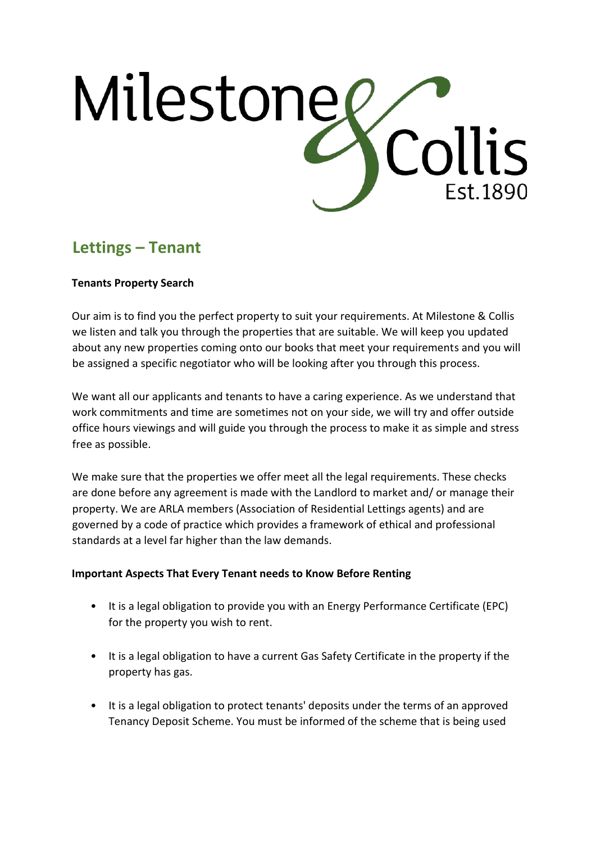# Milestone Collis Est. 1890

# **Lettings – Tenant**

## **Tenants Property Search**

Our aim is to find you the perfect property to suit your requirements. At Milestone & Collis we listen and talk you through the properties that are suitable. We will keep you updated about any new properties coming onto our books that meet your requirements and you will be assigned a specific negotiator who will be looking after you through this process.

We want all our applicants and tenants to have a caring experience. As we understand that work commitments and time are sometimes not on your side, we will try and offer outside office hours viewings and will guide you through the process to make it as simple and stress free as possible.

We make sure that the properties we offer meet all the legal requirements. These checks are done before any agreement is made with the Landlord to market and/ or manage their property. We are ARLA members (Association of Residential Lettings agents) and are governed by a code of practice which provides a framework of ethical and professional standards at a level far higher than the law demands.

#### **Important Aspects That Every Tenant needs to Know Before Renting**

- It is a legal obligation to provide you with an Energy Performance Certificate (EPC) for the property you wish to rent.
- It is a legal obligation to have a current Gas Safety Certificate in the property if the property has gas.
- It is a legal obligation to protect tenants' deposits under the terms of an approved Tenancy Deposit Scheme. You must be informed of the scheme that is being used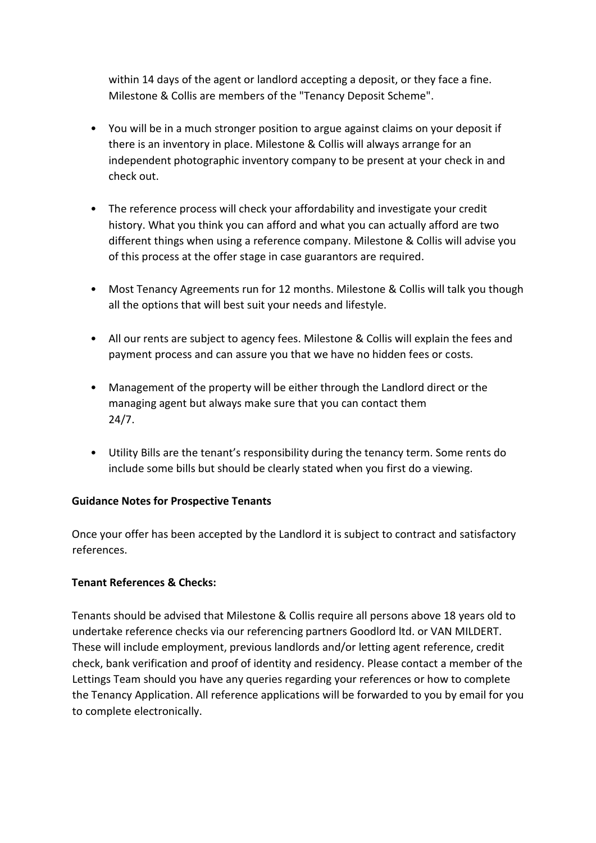within 14 days of the agent or landlord accepting a deposit, or they face a fine. Milestone & Collis are members of the "Tenancy Deposit Scheme".

- You will be in a much stronger position to argue against claims on your deposit if there is an inventory in place. Milestone & Collis will always arrange for an independent photographic inventory company to be present at your check in and check out.
- The reference process will check your affordability and investigate your credit history. What you think you can afford and what you can actually afford are two different things when using a reference company. Milestone & Collis will advise you of this process at the offer stage in case guarantors are required.
- Most Tenancy Agreements run for 12 months. Milestone & Collis will talk you though all the options that will best suit your needs and lifestyle.
- All our rents are subject to agency fees. Milestone & Collis will explain the fees and payment process and can assure you that we have no hidden fees or costs.
- Management of the property will be either through the Landlord direct or the managing agent but always make sure that you can contact them 24/7.
- Utility Bills are the tenant's responsibility during the tenancy term. Some rents do include some bills but should be clearly stated when you first do a viewing.

#### **Guidance Notes for Prospective Tenants**

Once your offer has been accepted by the Landlord it is subject to contract and satisfactory references.

#### **Tenant References & Checks:**

Tenants should be advised that Milestone & Collis require all persons above 18 years old to undertake reference checks via our referencing partners Goodlord ltd. or VAN MILDERT. These will include employment, previous landlords and/or letting agent reference, credit check, bank verification and proof of identity and residency. Please contact a member of the Lettings Team should you have any queries regarding your references or how to complete the Tenancy Application. All reference applications will be forwarded to you by email for you to complete electronically.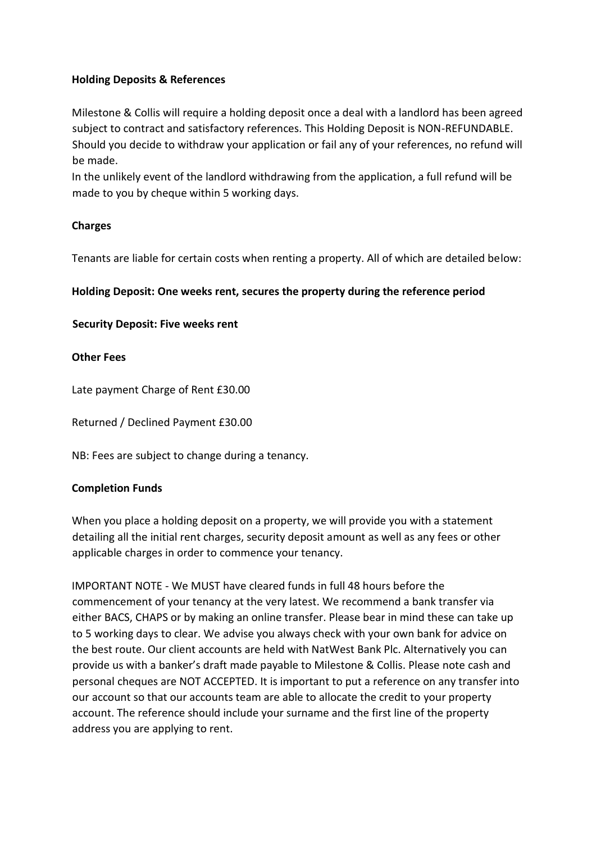#### **Holding Deposits & References**

Milestone & Collis will require a holding deposit once a deal with a landlord has been agreed subject to contract and satisfactory references. This Holding Deposit is NON-REFUNDABLE. Should you decide to withdraw your application or fail any of your references, no refund will be made.

In the unlikely event of the landlord withdrawing from the application, a full refund will be made to you by cheque within 5 working days.

## **Charges**

Tenants are liable for certain costs when renting a property. All of which are detailed below:

#### **Holding Deposit: One weeks rent, secures the property during the reference period**

#### **Security Deposit: Five weeks rent**

#### **Other Fees**

Late payment Charge of Rent £30.00

Returned / Declined Payment £30.00

NB: Fees are subject to change during a tenancy.

#### **Completion Funds**

When you place a holding deposit on a property, we will provide you with a statement detailing all the initial rent charges, security deposit amount as well as any fees or other applicable charges in order to commence your tenancy.

IMPORTANT NOTE - We MUST have cleared funds in full 48 hours before the commencement of your tenancy at the very latest. We recommend a bank transfer via either BACS, CHAPS or by making an online transfer. Please bear in mind these can take up to 5 working days to clear. We advise you always check with your own bank for advice on the best route. Our client accounts are held with NatWest Bank Plc. Alternatively you can provide us with a banker's draft made payable to Milestone & Collis. Please note cash and personal cheques are NOT ACCEPTED. It is important to put a reference on any transfer into our account so that our accounts team are able to allocate the credit to your property account. The reference should include your surname and the first line of the property address you are applying to rent.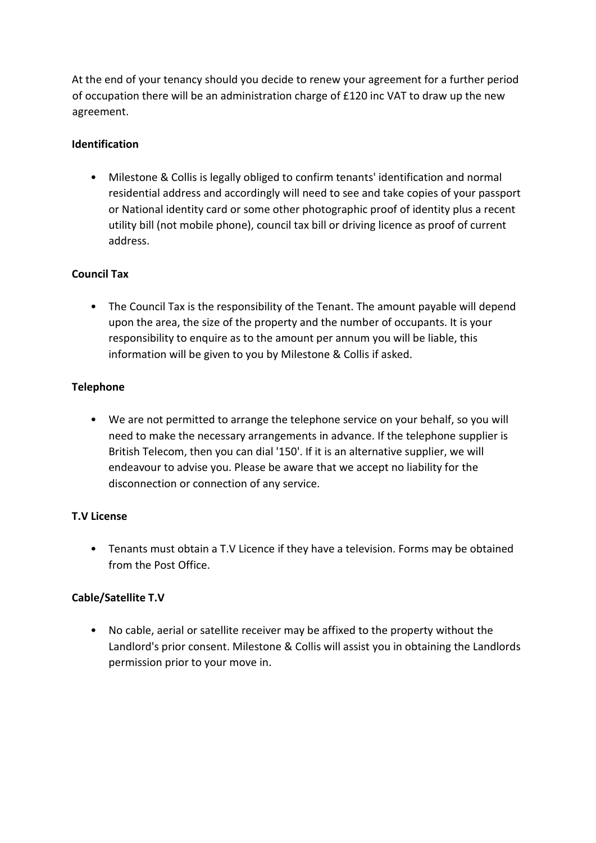At the end of your tenancy should you decide to renew your agreement for a further period of occupation there will be an administration charge of £120 inc VAT to draw up the new agreement.

#### **Identification**

• Milestone & Collis is legally obliged to confirm tenants' identification and normal residential address and accordingly will need to see and take copies of your passport or National identity card or some other photographic proof of identity plus a recent utility bill (not mobile phone), council tax bill or driving licence as proof of current address.

## **Council Tax**

• The Council Tax is the responsibility of the Tenant. The amount payable will depend upon the area, the size of the property and the number of occupants. It is your responsibility to enquire as to the amount per annum you will be liable, this information will be given to you by Milestone & Collis if asked.

#### **Telephone**

• We are not permitted to arrange the telephone service on your behalf, so you will need to make the necessary arrangements in advance. If the telephone supplier is British Telecom, then you can dial '150'. If it is an alternative supplier, we will endeavour to advise you. Please be aware that we accept no liability for the disconnection or connection of any service.

#### **T.V License**

• Tenants must obtain a T.V Licence if they have a television. Forms may be obtained from the Post Office.

#### **Cable/Satellite T.V**

• No cable, aerial or satellite receiver may be affixed to the property without the Landlord's prior consent. Milestone & Collis will assist you in obtaining the Landlords permission prior to your move in.